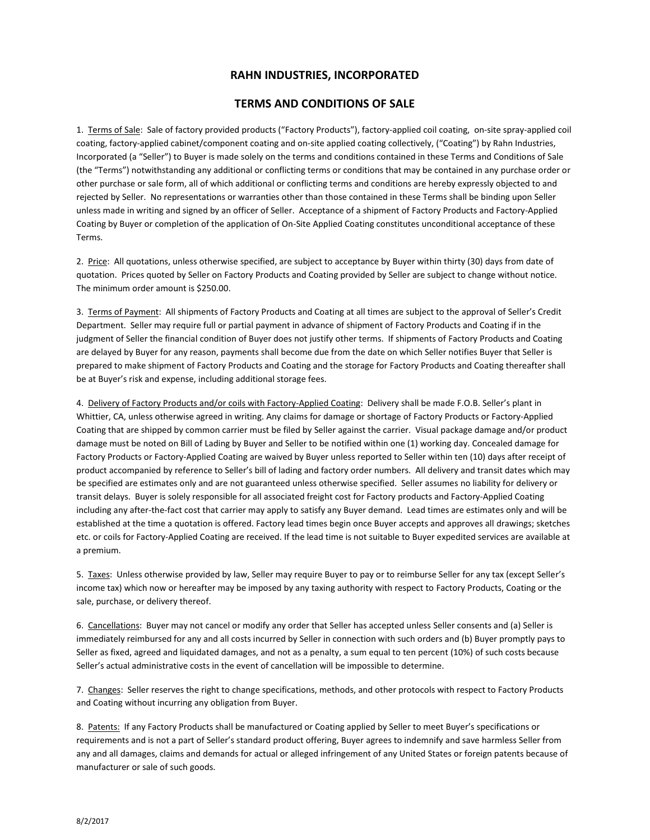# **RAHN INDUSTRIES, INCORPORATED**

## **TERMS AND CONDITIONS OF SALE**

1. Terms of Sale: Sale of factory provided products ("Factory Products"), factory-applied coil coating, on-site spray-applied coil coating, factory-applied cabinet/component coating and on-site applied coating collectively, ("Coating") by Rahn Industries, Incorporated (a "Seller") to Buyer is made solely on the terms and conditions contained in these Terms and Conditions of Sale (the "Terms") notwithstanding any additional or conflicting terms or conditions that may be contained in any purchase order or other purchase or sale form, all of which additional or conflicting terms and conditions are hereby expressly objected to and rejected by Seller. No representations or warranties other than those contained in these Terms shall be binding upon Seller unless made in writing and signed by an officer of Seller. Acceptance of a shipment of Factory Products and Factory-Applied Coating by Buyer or completion of the application of On-Site Applied Coating constitutes unconditional acceptance of these Terms.

2. Price: All quotations, unless otherwise specified, are subject to acceptance by Buyer within thirty (30) days from date of quotation. Prices quoted by Seller on Factory Products and Coating provided by Seller are subject to change without notice. The minimum order amount is \$250.00.

3. Terms of Payment: All shipments of Factory Products and Coating at all times are subject to the approval of Seller's Credit Department. Seller may require full or partial payment in advance of shipment of Factory Products and Coating if in the judgment of Seller the financial condition of Buyer does not justify other terms. If shipments of Factory Products and Coating are delayed by Buyer for any reason, payments shall become due from the date on which Seller notifies Buyer that Seller is prepared to make shipment of Factory Products and Coating and the storage for Factory Products and Coating thereafter shall be at Buyer's risk and expense, including additional storage fees.

4. Delivery of Factory Products and/or coils with Factory-Applied Coating: Delivery shall be made F.O.B. Seller's plant in Whittier, CA, unless otherwise agreed in writing. Any claims for damage or shortage of Factory Products or Factory-Applied Coating that are shipped by common carrier must be filed by Seller against the carrier. Visual package damage and/or product damage must be noted on Bill of Lading by Buyer and Seller to be notified within one (1) working day. Concealed damage for Factory Products or Factory-Applied Coating are waived by Buyer unless reported to Seller within ten (10) days after receipt of product accompanied by reference to Seller's bill of lading and factory order numbers. All delivery and transit dates which may be specified are estimates only and are not guaranteed unless otherwise specified. Seller assumes no liability for delivery or transit delays. Buyer is solely responsible for all associated freight cost for Factory products and Factory-Applied Coating including any after-the-fact cost that carrier may apply to satisfy any Buyer demand. Lead times are estimates only and will be established at the time a quotation is offered. Factory lead times begin once Buyer accepts and approves all drawings; sketches etc. or coils for Factory-Applied Coating are received. If the lead time is not suitable to Buyer expedited services are available at a premium.

5. Taxes: Unless otherwise provided by law, Seller may require Buyer to pay or to reimburse Seller for any tax (except Seller's income tax) which now or hereafter may be imposed by any taxing authority with respect to Factory Products, Coating or the sale, purchase, or delivery thereof.

6. Cancellations: Buyer may not cancel or modify any order that Seller has accepted unless Seller consents and (a) Seller is immediately reimbursed for any and all costs incurred by Seller in connection with such orders and (b) Buyer promptly pays to Seller as fixed, agreed and liquidated damages, and not as a penalty, a sum equal to ten percent (10%) of such costs because Seller's actual administrative costs in the event of cancellation will be impossible to determine.

7. Changes: Seller reserves the right to change specifications, methods, and other protocols with respect to Factory Products and Coating without incurring any obligation from Buyer.

8. Patents: If any Factory Products shall be manufactured or Coating applied by Seller to meet Buyer's specifications or requirements and is not a part of Seller's standard product offering, Buyer agrees to indemnify and save harmless Seller from any and all damages, claims and demands for actual or alleged infringement of any United States or foreign patents because of manufacturer or sale of such goods.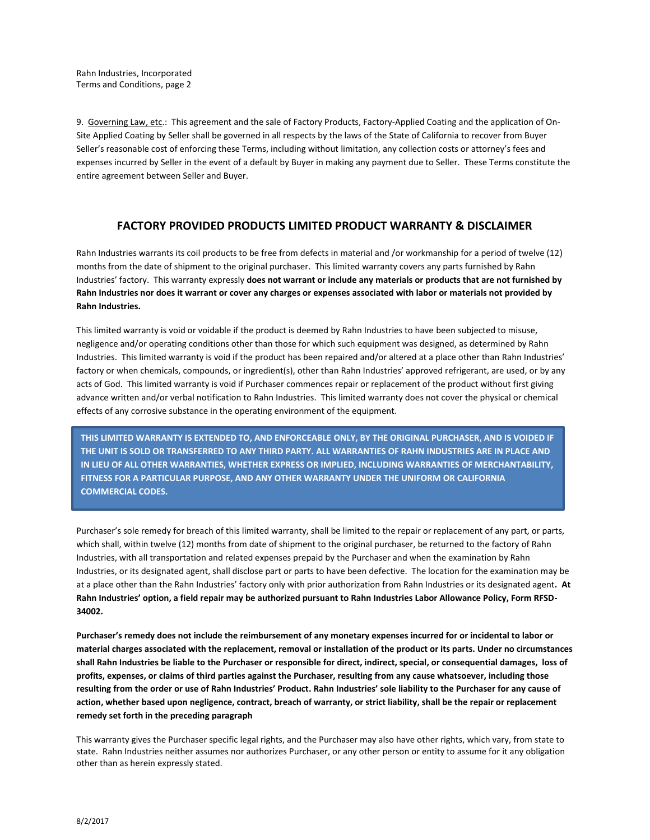9. Governing Law, etc.: This agreement and the sale of Factory Products, Factory-Applied Coating and the application of On-Site Applied Coating by Seller shall be governed in all respects by the laws of the State of California to recover from Buyer Seller's reasonable cost of enforcing these Terms, including without limitation, any collection costs or attorney's fees and expenses incurred by Seller in the event of a default by Buyer in making any payment due to Seller. These Terms constitute the entire agreement between Seller and Buyer.

# **FACTORY PROVIDED PRODUCTS LIMITED PRODUCT WARRANTY & DISCLAIMER**

Rahn Industries warrants its coil products to be free from defects in material and /or workmanship for a period of twelve (12) months from the date of shipment to the original purchaser. This limited warranty covers any parts furnished by Rahn Industries' factory. This warranty expressly **does not warrant or include any materials or products that are not furnished by Rahn Industries nor does it warrant or cover any charges or expenses associated with labor or materials not provided by Rahn Industries.**

This limited warranty is void or voidable if the product is deemed by Rahn Industries to have been subjected to misuse, negligence and/or operating conditions other than those for which such equipment was designed, as determined by Rahn Industries. This limited warranty is void if the product has been repaired and/or altered at a place other than Rahn Industries' factory or when chemicals, compounds, or ingredient(s), other than Rahn Industries' approved refrigerant, are used, or by any acts of God. This limited warranty is void if Purchaser commences repair or replacement of the product without first giving advance written and/or verbal notification to Rahn Industries. This limited warranty does not cover the physical or chemical effects of any corrosive substance in the operating environment of the equipment.

**THIS LIMITED WARRANTY IS EXTENDED TO, AND ENFORCEABLE ONLY, BY THE ORIGINAL PURCHASER, AND IS VOIDED IF THE UNIT IS SOLD OR TRANSFERRED TO ANY THIRD PARTY. ALL WARRANTIES OF RAHN INDUSTRIES ARE IN PLACE AND IN LIEU OF ALL OTHER WARRANTIES, WHETHER EXPRESS OR IMPLIED, INCLUDING WARRANTIES OF MERCHANTABILITY, FITNESS FOR A PARTICULAR PURPOSE, AND ANY OTHER WARRANTY UNDER THE UNIFORM OR CALIFORNIA COMMERCIAL CODES.**

Purchaser's sole remedy for breach of this limited warranty, shall be limited to the repair or replacement of any part, or parts, which shall, within twelve (12) months from date of shipment to the original purchaser, be returned to the factory of Rahn Industries, with all transportation and related expenses prepaid by the Purchaser and when the examination by Rahn Industries, or its designated agent, shall disclose part or parts to have been defective. The location for the examination may be at a place other than the Rahn Industries' factory only with prior authorization from Rahn Industries or its designated agent**. At Rahn Industries' option, a field repair may be authorized pursuant to Rahn Industries Labor Allowance Policy, Form RFSD-34002.**

**Purchaser's remedy does not include the reimbursement of any monetary expenses incurred for or incidental to labor or material charges associated with the replacement, removal or installation of the product or its parts. Under no circumstances shall Rahn Industries be liable to the Purchaser or responsible for direct, indirect, special, or consequential damages, loss of profits, expenses, or claims of third parties against the Purchaser, resulting from any cause whatsoever, including those resulting from the order or use of Rahn Industries' Product. Rahn Industries' sole liability to the Purchaser for any cause of action, whether based upon negligence, contract, breach of warranty, or strict liability, shall be the repair or replacement remedy set forth in the preceding paragraph**

This warranty gives the Purchaser specific legal rights, and the Purchaser may also have other rights, which vary, from state to state. Rahn Industries neither assumes nor authorizes Purchaser, or any other person or entity to assume for it any obligation other than as herein expressly stated.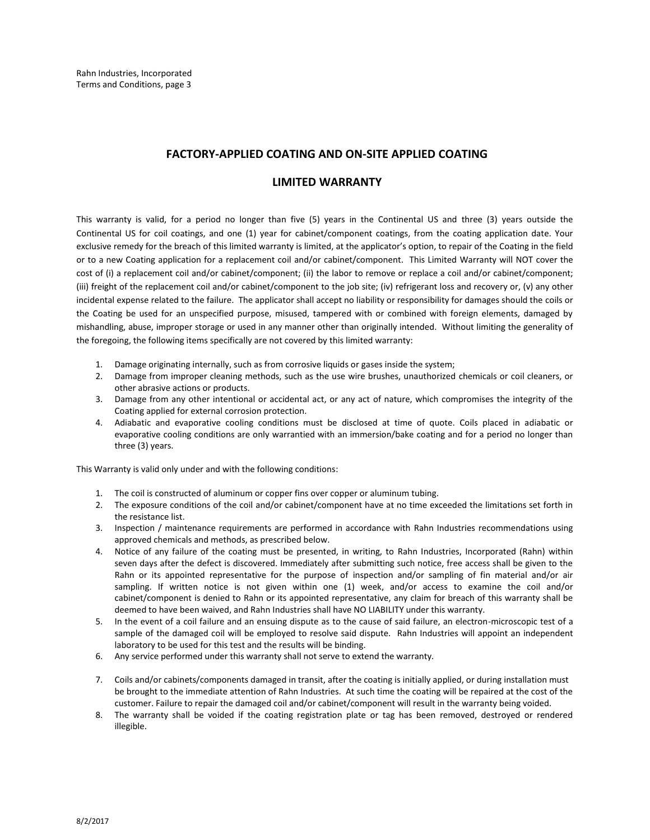# **FACTORY-APPLIED COATING AND ON-SITE APPLIED COATING**

## **LIMITED WARRANTY**

This warranty is valid, for a period no longer than five (5) years in the Continental US and three (3) years outside the Continental US for coil coatings, and one (1) year for cabinet/component coatings, from the coating application date. Your exclusive remedy for the breach of this limited warranty is limited, at the applicator's option, to repair of the Coating in the field or to a new Coating application for a replacement coil and/or cabinet/component. This Limited Warranty will NOT cover the cost of (i) a replacement coil and/or cabinet/component; (ii) the labor to remove or replace a coil and/or cabinet/component; (iii) freight of the replacement coil and/or cabinet/component to the job site; (iv) refrigerant loss and recovery or, (v) any other incidental expense related to the failure. The applicator shall accept no liability or responsibility for damages should the coils or the Coating be used for an unspecified purpose, misused, tampered with or combined with foreign elements, damaged by mishandling, abuse, improper storage or used in any manner other than originally intended. Without limiting the generality of the foregoing, the following items specifically are not covered by this limited warranty:

- 1. Damage originating internally, such as from corrosive liquids or gases inside the system;
- 2. Damage from improper cleaning methods, such as the use wire brushes, unauthorized chemicals or coil cleaners, or other abrasive actions or products.
- 3. Damage from any other intentional or accidental act, or any act of nature, which compromises the integrity of the Coating applied for external corrosion protection.
- 4. Adiabatic and evaporative cooling conditions must be disclosed at time of quote. Coils placed in adiabatic or evaporative cooling conditions are only warrantied with an immersion/bake coating and for a period no longer than three (3) years.

This Warranty is valid only under and with the following conditions:

- 1. The coil is constructed of aluminum or copper fins over copper or aluminum tubing.
- 2. The exposure conditions of the coil and/or cabinet/component have at no time exceeded the limitations set forth in the resistance list.
- 3. Inspection / maintenance requirements are performed in accordance with Rahn Industries recommendations using approved chemicals and methods, as prescribed below.
- 4. Notice of any failure of the coating must be presented, in writing, to Rahn Industries, Incorporated (Rahn) within seven days after the defect is discovered. Immediately after submitting such notice, free access shall be given to the Rahn or its appointed representative for the purpose of inspection and/or sampling of fin material and/or air sampling. If written notice is not given within one (1) week, and/or access to examine the coil and/or cabinet/component is denied to Rahn or its appointed representative, any claim for breach of this warranty shall be deemed to have been waived, and Rahn Industries shall have NO LIABILITY under this warranty.
- 5. In the event of a coil failure and an ensuing dispute as to the cause of said failure, an electron-microscopic test of a sample of the damaged coil will be employed to resolve said dispute. Rahn Industries will appoint an independent laboratory to be used for this test and the results will be binding.
- 6. Any service performed under this warranty shall not serve to extend the warranty.
- 7. Coils and/or cabinets/components damaged in transit, after the coating is initially applied, or during installation must be brought to the immediate attention of Rahn Industries. At such time the coating will be repaired at the cost of the customer. Failure to repair the damaged coil and/or cabinet/component will result in the warranty being voided.
- 8. The warranty shall be voided if the coating registration plate or tag has been removed, destroyed or rendered illegible.